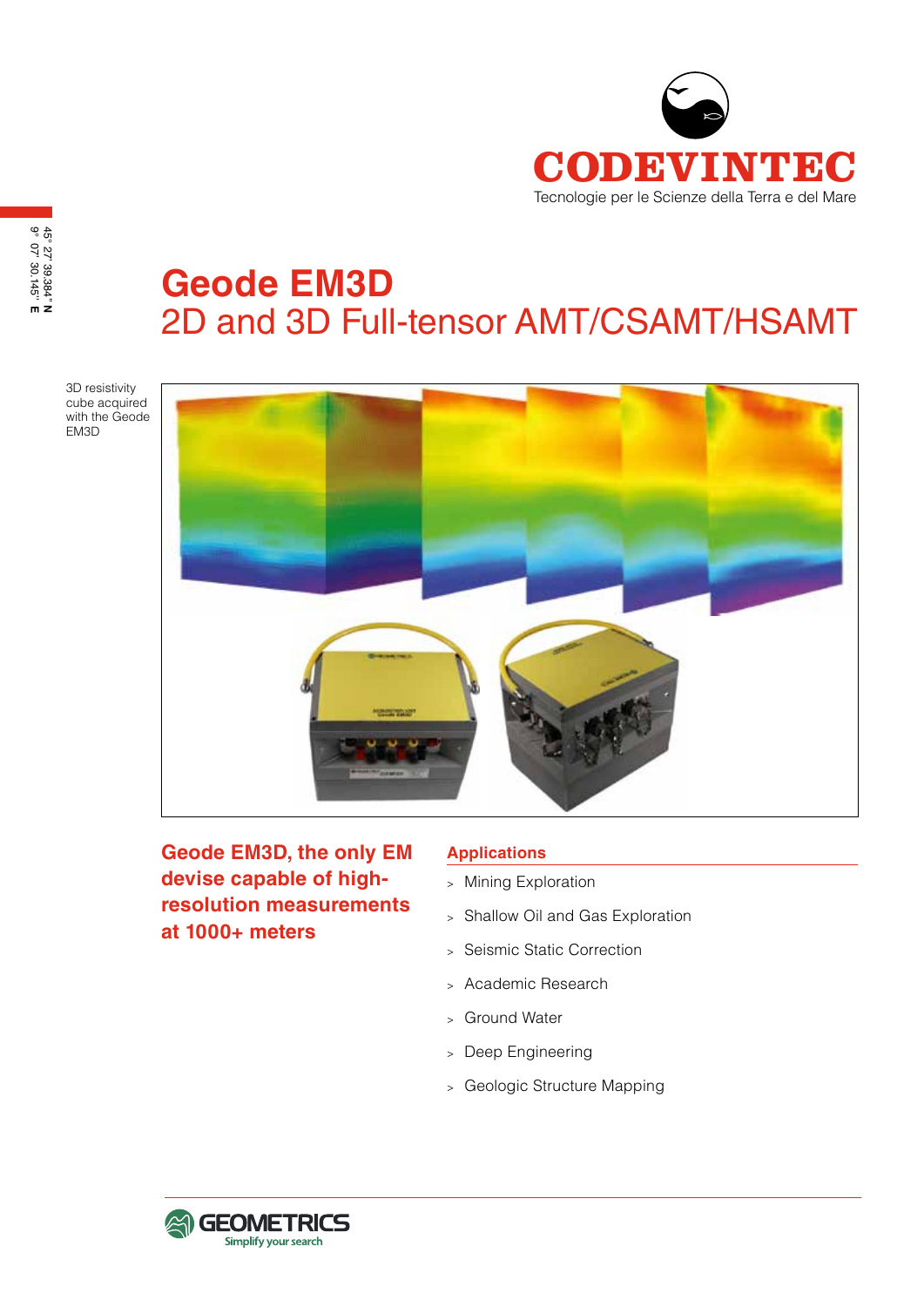

# **Geode EM3D** 2D and 3D Full-tensor AMT/CSAMT/HSAMT

3D resistivity cube acquired with the Geode EM3D



**Geode EM3D, the only EM devise capable of highresolution measurements at 1000+ meters**

#### **Applications**

- <sup>&</sup>gt; Mining Exploration
- <sup>&</sup>gt; Shallow Oil and Gas Exploration
- <sup>&</sup>gt; Seismic Static Correction
- <sup>&</sup>gt; Academic Research
- <sup>&</sup>gt; Ground Water
- <sup>&</sup>gt; Deep Engineering
- <sup>&</sup>gt; Geologic Structure Mapping

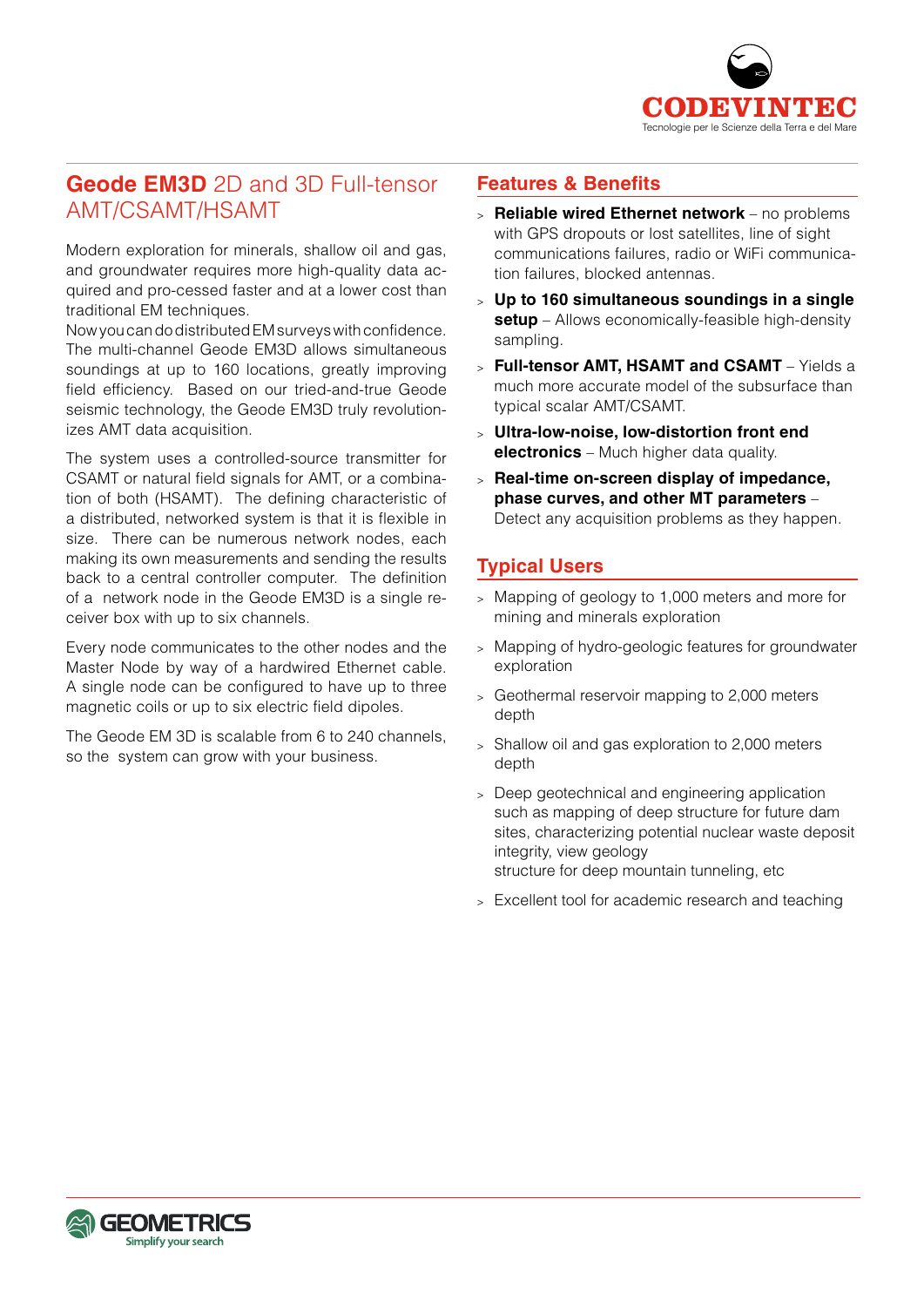

## **Geode EM3D** 2D and 3D Full-tensor AMT/CSAMT/HSAMT

Modern exploration for minerals, shallow oil and gas, and groundwater requires more high-quality data acquired and pro-cessed faster and at a lower cost than traditional EM techniques.

Now you can do distributed EM surveys with confidence. The multi-channel Geode EM3D allows simultaneous soundings at up to 160 locations, greatly improving field efficiency. Based on our tried-and-true Geode seismic technology, the Geode EM3D truly revolutionizes AMT data acquisition.

The system uses a controlled-source transmitter for CSAMT or natural field signals for AMT, or a combination of both (HSAMT). The defining characteristic of a distributed, networked system is that it is flexible in size. There can be numerous network nodes, each making its own measurements and sending the results back to a central controller computer. The definition of a network node in the Geode EM3D is a single receiver box with up to six channels.

Every node communicates to the other nodes and the Master Node by way of a hardwired Ethernet cable. A single node can be configured to have up to three magnetic coils or up to six electric field dipoles.

The Geode EM 3D is scalable from 6 to 240 channels, so the system can grow with your business.

#### **Features & Benefits**

- <sup>&</sup>gt; **Reliable wired Ethernet network** no problems with GPS dropouts or lost satellites, line of sight communications failures, radio or WiFi communication failures, blocked antennas.
- <sup>&</sup>gt; **Up to 160 simultaneous soundings in a single setup** – Allows economically-feasible high-density sampling.
- <sup>&</sup>gt; **Full-tensor AMT, HSAMT and CSAMT** Yields a much more accurate model of the subsurface than typical scalar AMT/CSAMT.
- <sup>&</sup>gt; **Ultra-low-noise, low-distortion front end electronics** – Much higher data quality.
- <sup>&</sup>gt; **Real-time on-screen display of impedance, phase curves, and other MT parameters** – Detect any acquisition problems as they happen.

## **Typical Users**

- <sup>&</sup>gt; Mapping of geology to 1,000 meters and more for mining and minerals exploration
- <sup>&</sup>gt; Mapping of hydro-geologic features for groundwater exploration
- <sup>&</sup>gt; Geothermal reservoir mapping to 2,000 meters depth
- <sup>&</sup>gt; Shallow oil and gas exploration to 2,000 meters depth
- <sup>&</sup>gt; Deep geotechnical and engineering application such as mapping of deep structure for future dam sites, characterizing potential nuclear waste deposit integrity, view geology structure for deep mountain tunneling, etc
- <sup>&</sup>gt; Excellent tool for academic research and teaching

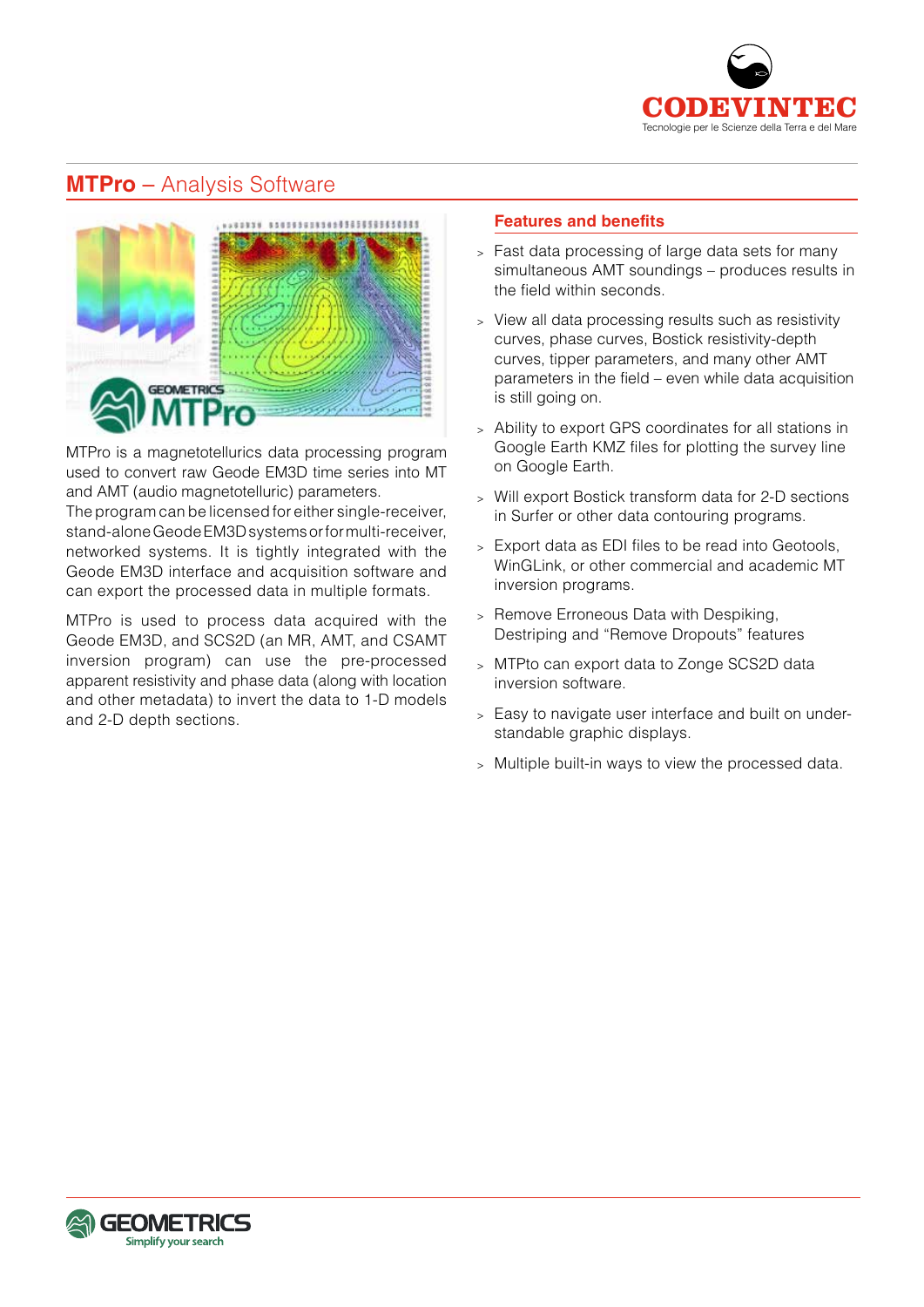

## **MTPro** – Analysis Software



MTPro is a magnetotellurics data processing program used to convert raw Geode EM3D time series into MT and AMT (audio magnetotelluric) parameters.

The program can be licensed for either single-receiver, stand-alone Geode EM3D systems or for multi-receiver, networked systems. It is tightly integrated with the Geode EM3D interface and acquisition software and can export the processed data in multiple formats.

MTPro is used to process data acquired with the Geode EM3D, and SCS2D (an MR, AMT, and CSAMT inversion program) can use the pre-processed apparent resistivity and phase data (along with location and other metadata) to invert the data to 1-D models and 2-D depth sections.

#### **Features and benefits**

- <sup>&</sup>gt; Fast data processing of large data sets for many simultaneous AMT soundings – produces results in the field within seconds.
- <sup>&</sup>gt; View all data processing results such as resistivity curves, phase curves, Bostick resistivity-depth curves, tipper parameters, and many other AMT parameters in the field – even while data acquisition is still going on.
- <sup>&</sup>gt; Ability to export GPS coordinates for all stations in Google Earth KMZ files for plotting the survey line on Google Earth.
- <sup>&</sup>gt; Will export Bostick transform data for 2-D sections in Surfer or other data contouring programs.
- <sup>&</sup>gt; Export data as EDI files to be read into Geotools, WinGLink, or other commercial and academic MT inversion programs.
- <sup>&</sup>gt; Remove Erroneous Data with Despiking, Destriping and "Remove Dropouts" features
- <sup>&</sup>gt; MTPto can export data to Zonge SCS2D data inversion software.
- <sup>&</sup>gt; Easy to navigate user interface and built on understandable graphic displays.
- <sup>&</sup>gt; Multiple built-in ways to view the processed data.